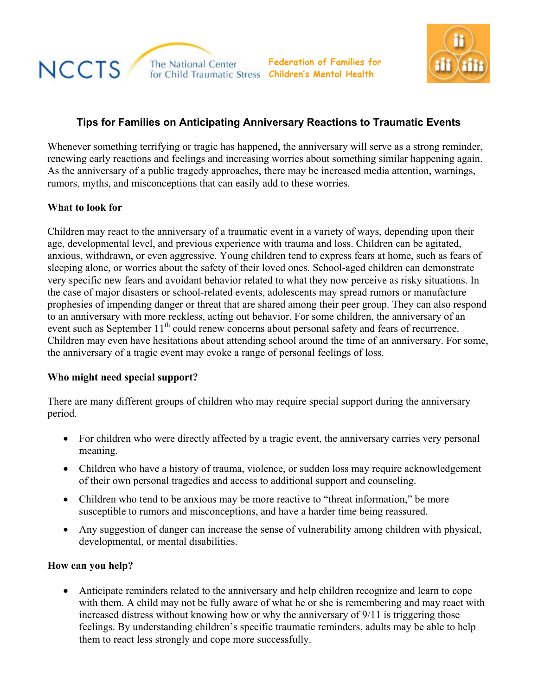



# **Tips for Families on Anticipating Anniversary Reactions to Traumatic Events**

Whenever something terrifying or tragic has happened, the anniversary will serve as a strong reminder, renewing early reactions and feelings and increasing worries about something similar happening again. As the anniversary of a public tragedy approaches, there may be increased media attention, warnings, rumors, myths, and misconceptions that can easily add to these worries.

## **What to look for**

Children may react to the anniversary of a traumatic event in a variety of ways, depending upon their age, developmental level, and previous experience with trauma and loss. Children can be agitated, anxious, withdrawn, or even aggressive. Young children tend to express fears at home, such as fears of sleeping alone, or worries about the safety of their loved ones. School-aged children can demonstrate very specific new fears and avoidant behavior related to what they now perceive as risky situations. In the case of major disasters or school-related events, adolescents may spread rumors or manufacture prophesies of impending danger or threat that are shared among their peer group. They can also respond to an anniversary with more reckless, acting out behavior. For some children, the anniversary of an event such as September 11<sup>th</sup> could renew concerns about personal safety and fears of recurrence. Children may even have hesitations about attending school around the time of an anniversary. For some, the anniversary of a tragic event may evoke a range of personal feelings of loss.

### **Who might need special support?**

There are many different groups of children who may require special support during the anniversary period.

- For children who were directly affected by a tragic event, the anniversary carries very personal meaning.
- Children who have a history of trauma, violence, or sudden loss may require acknowledgement of their own personal tragedies and access to additional support and counseling.
- Children who tend to be anxious may be more reactive to "threat information," be more susceptible to rumors and misconceptions, and have a harder time being reassured.
- Any suggestion of danger can increase the sense of vulnerability among children with physical, developmental, or mental disabilities.

### **How can you help?**

• Anticipate reminders related to the anniversary and help children recognize and learn to cope with them. A child may not be fully aware of what he or she is remembering and may react with increased distress without knowing how or why the anniversary of 9/11 is triggering those feelings. By understanding children's specific traumatic reminders, adults may be able to help them to react less strongly and cope more successfully.